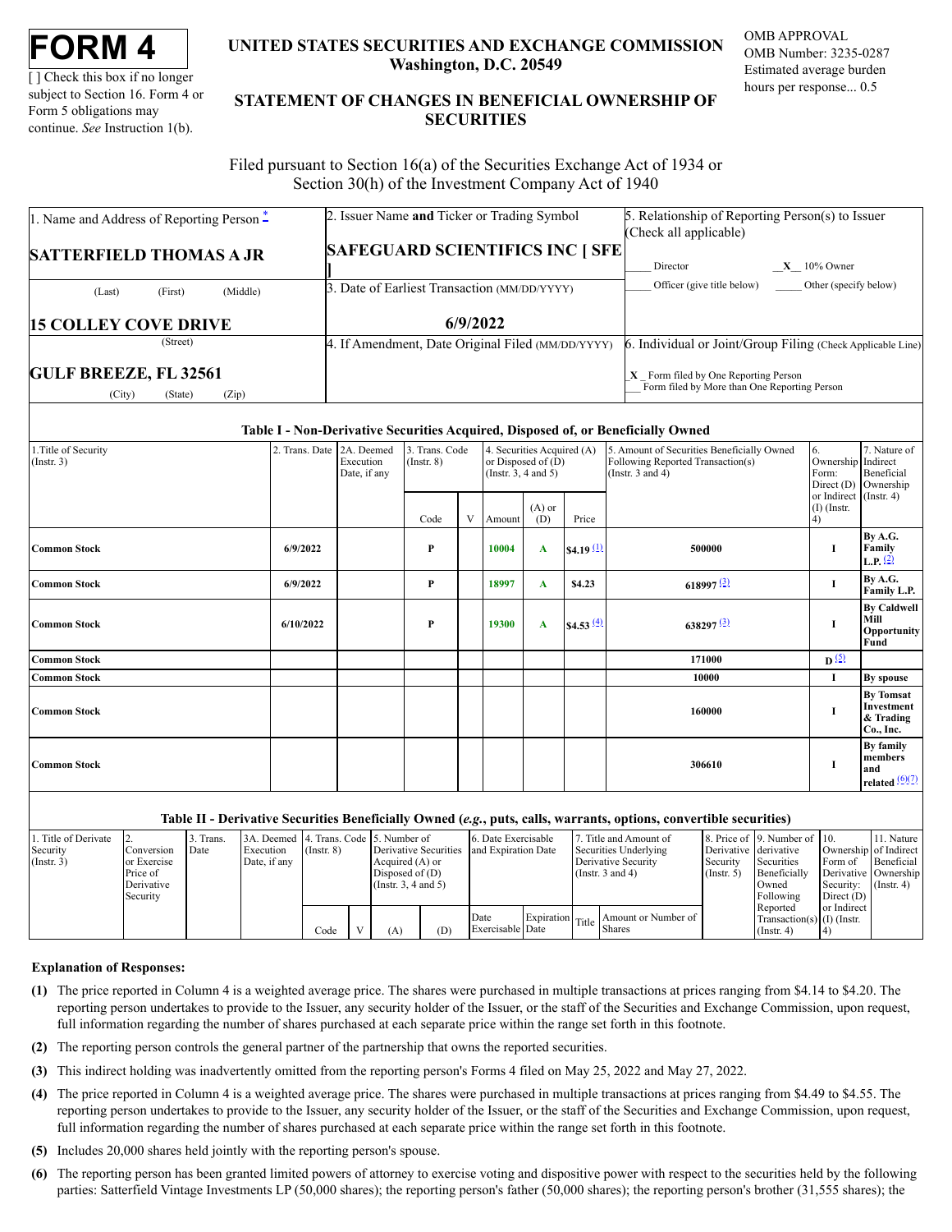[ ] Check this box if no longer subject to Section 16. Form 4 or Form 5 obligations may continue. *See* Instruction 1(b).

# **UNITED STATES SECURITIES AND EXCHANGE COMMISSION Washington, D.C. 20549**

OMB APPROVAL OMB Number: 3235-0287 Estimated average burden hours per response... 0.5

# **STATEMENT OF CHANGES IN BENEFICIAL OWNERSHIP OF SECURITIES**

Filed pursuant to Section 16(a) of the Securities Exchange Act of 1934 or Section 30(h) of the Investment Company Act of 1940

| 1. Name and Address of Reporting Person $\ddot{=}$         | 2. Issuer Name and Ticker or Trading Symbol       | 5. Relationship of Reporting Person(s) to Issuer                                       |
|------------------------------------------------------------|---------------------------------------------------|----------------------------------------------------------------------------------------|
|                                                            |                                                   | (Check all applicable)                                                                 |
| <b>SATTERFIELD THOMAS A JR</b>                             | <b>SAFEGUARD SCIENTIFICS INC [ SFE]</b>           |                                                                                        |
|                                                            |                                                   | $X = 10\%$ Owner<br>Director                                                           |
| (Middle)<br>(First)<br>(Last)                              | 3. Date of Earliest Transaction (MM/DD/YYYY)      | Officer (give title below) Other (specify below)                                       |
| <b>15 COLLEY COVE DRIVE</b>                                | 6/9/2022                                          |                                                                                        |
| (Street)                                                   | 4. If Amendment, Date Original Filed (MM/DD/YYYY) | 6. Individual or Joint/Group Filing (Check Applicable Line)                            |
| <b>GULF BREEZE, FL 32561</b><br>(City)<br>(Zip)<br>(State) |                                                   | $X$ Form filed by One Reporting Person<br>Form filed by More than One Reporting Person |

### **Table I - Non-Derivative Securities Acquired, Disposed of, or Beneficially Owned**

| 1. Title of Security<br>$($ Instr. 3 $)$ | 2. Trans. Date 2A. Deemed | Execution<br>Date, if any | 3. Trans. Code<br>$($ Instr. $8)$ | 4. Securities Acquired (A)<br>or Disposed of $(D)$<br>(Instr. $3, 4$ and $5$ ) |          |                 | 5. Amount of Securities Beneficially Owned<br>Following Reported Transaction(s)<br>(Instr. $3$ and $4$ ) | 6.<br>Ownership Indirect<br>Form:<br>Direct (D) | 7. Nature of<br>Beneficial<br>Ownership       |                                                           |
|------------------------------------------|---------------------------|---------------------------|-----------------------------------|--------------------------------------------------------------------------------|----------|-----------------|----------------------------------------------------------------------------------------------------------|-------------------------------------------------|-----------------------------------------------|-----------------------------------------------------------|
|                                          |                           |                           | Code                              |                                                                                | V Amount | $(A)$ or<br>(D) | Price                                                                                                    |                                                 | or Indirect (Instr. 4)<br>$(I)$ (Instr.<br>4) |                                                           |
| <b>Common Stock</b>                      | 6/9/2022                  |                           | P                                 |                                                                                | 10004    | A               | \$4.19 $(1)$                                                                                             | 500000                                          | I                                             | By A.G.<br>Family<br>L.P. $(2)$                           |
| <b>Common Stock</b>                      | 6/9/2022                  |                           | P                                 |                                                                                | 18997    | A               | \$4.23                                                                                                   | 618997 $\frac{(3)}{2}$                          | 1                                             | By A.G.<br>Family L.P.                                    |
| <b>Common Stock</b>                      | 6/10/2022                 |                           | P                                 |                                                                                | 19300    | $\mathbf{A}$    | $$4.53 \frac{(4)}{6}$                                                                                    | $638297\frac{(3)}{2}$                           | I                                             | <b>By Caldwell</b><br>Mill<br>Opportunity<br>Fund         |
| <b>Common Stock</b>                      |                           |                           |                                   |                                                                                |          |                 |                                                                                                          | 171000                                          | $\mathbf{D}^{(5)}$                            |                                                           |
| <b>Common Stock</b>                      |                           |                           |                                   |                                                                                |          |                 |                                                                                                          | 10000                                           | 1                                             | By spouse                                                 |
| <b>Common Stock</b>                      |                           |                           |                                   |                                                                                |          |                 |                                                                                                          | 160000                                          | 1                                             | <b>By Tomsat</b><br>Investment<br>& Trading<br>Co., Inc.  |
| <b>Common Stock</b>                      |                           |                           |                                   |                                                                                |          |                 |                                                                                                          | 306610                                          |                                               | By family<br>members<br>and<br>related $\frac{(6)(7)}{2}$ |

## **Table II - Derivative Securities Beneficially Owned (***e.g.***, puts, calls, warrants, options, convertible securities)**

| 1. Title of Derivate<br>Security<br>$($ Instr. 3) | Conversion<br>lor Exercise<br>Price of<br>Derivative<br>Security | 3. Trans.<br>Date | 3A. Deemed 4. Trans. Code 5. Number of<br>Execution<br>Date, if any | $($ Instr. $8)$ | Derivative Securities<br>Acquired (A) or<br>Disposed of $(D)$<br>(Insert. 3, 4 and 5) |     | 6. Date Exercisable<br>and Expiration Date |  | Title and Amount of<br>Securities Underlying<br>Derivative Security<br>(Instr. $3$ and $4$ ) |                                                | Derivative derivative<br>Security<br>$($ Instr. 5 $)$ | 8. Price of 19. Number of 10.<br>Securities<br>Beneficially<br>Owned<br>Following | Ownership of Indirect<br>Form of<br>Derivative Ownership<br>Security:<br>Direct $(D)$ | 11. Nature<br>Beneficial<br>$($ Instr. 4 $)$ |
|---------------------------------------------------|------------------------------------------------------------------|-------------------|---------------------------------------------------------------------|-----------------|---------------------------------------------------------------------------------------|-----|--------------------------------------------|--|----------------------------------------------------------------------------------------------|------------------------------------------------|-------------------------------------------------------|-----------------------------------------------------------------------------------|---------------------------------------------------------------------------------------|----------------------------------------------|
|                                                   |                                                                  |                   |                                                                     | Code            | (A)                                                                                   | (D) | Date<br>Exercisable Date                   |  |                                                                                              | Expiration Title Shares<br>Amount or Number of |                                                       | Reported<br>Transaction(s) $(I)$ (Instr.<br>$($ Instr. 4 $)$                      | or Indirect                                                                           |                                              |

#### **Explanation of Responses:**

- <span id="page-0-0"></span>**(1)** The price reported in Column 4 is a weighted average price. The shares were purchased in multiple transactions at prices ranging from \$4.14 to \$4.20. The reporting person undertakes to provide to the Issuer, any security holder of the Issuer, or the staff of the Securities and Exchange Commission, upon request, full information regarding the number of shares purchased at each separate price within the range set forth in this footnote.
- <span id="page-0-1"></span>**(2)** The reporting person controls the general partner of the partnership that owns the reported securities.
- <span id="page-0-2"></span>**(3)** This indirect holding was inadvertently omitted from the reporting person's Forms 4 filed on May 25, 2022 and May 27, 2022.
- <span id="page-0-3"></span>**(4)** The price reported in Column 4 is a weighted average price. The shares were purchased in multiple transactions at prices ranging from \$4.49 to \$4.55. The reporting person undertakes to provide to the Issuer, any security holder of the Issuer, or the staff of the Securities and Exchange Commission, upon request, full information regarding the number of shares purchased at each separate price within the range set forth in this footnote.
- <span id="page-0-4"></span>**(5)** Includes 20,000 shares held jointly with the reporting person's spouse.
- <span id="page-0-5"></span>**(6)** The reporting person has been granted limited powers of attorney to exercise voting and dispositive power with respect to the securities held by the following parties: Satterfield Vintage Investments LP (50,000 shares); the reporting person's father (50,000 shares); the reporting person's brother (31,555 shares); the